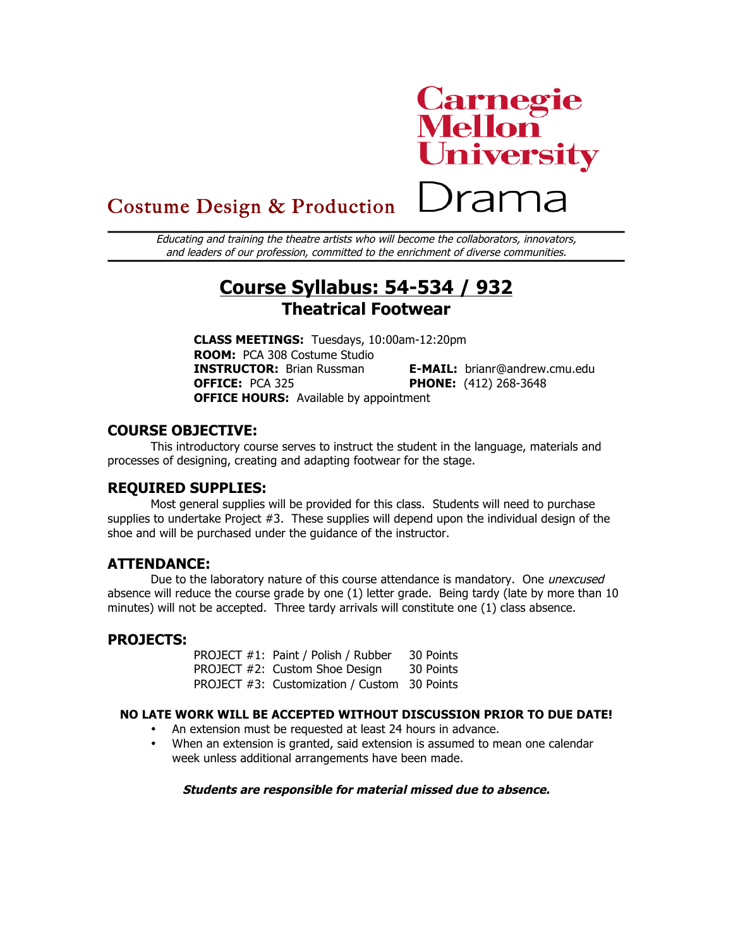# **Carnegie<br>Mellon<br>University**

Drama

# Costume Design & Production

Educating and training the theatre artists who will become the collaborators, innovators, and leaders of our profession, committed to the enrichment of diverse communities.

# **Course Syllabus: 54-534 / 932 Theatrical Footwear**

**CLASS MEETINGS:** Tuesdays, 10:00am-12:20pm **ROOM:** PCA 308 Costume Studio **INSTRUCTOR:** Brian Russman **E-MAIL:** brianr@andrew.cmu.edu **OFFICE:** PCA 325 **PHONE:** (412) 268-3648 **OFFICE HOURS:** Available by appointment

### **COURSE OBJECTIVE:**

This introductory course serves to instruct the student in the language, materials and processes of designing, creating and adapting footwear for the stage.

#### **REQUIRED SUPPLIES:**

Most general supplies will be provided for this class. Students will need to purchase supplies to undertake Project  $#3$ . These supplies will depend upon the individual design of the shoe and will be purchased under the guidance of the instructor.

#### **ATTENDANCE:**

Due to the laboratory nature of this course attendance is mandatory. One unexcused absence will reduce the course grade by one (1) letter grade. Being tardy (late by more than 10 minutes) will not be accepted. Three tardy arrivals will constitute one (1) class absence.

### **PROJECTS:**

PROJECT #1: Paint / Polish / Rubber 30 Points PROJECT #2: Custom Shoe Design 30 Points PROJECT #3: Customization / Custom 30 Points

#### **NO LATE WORK WILL BE ACCEPTED WITHOUT DISCUSSION PRIOR TO DUE DATE!**

- An extension must be requested at least 24 hours in advance.
- When an extension is granted, said extension is assumed to mean one calendar week unless additional arrangements have been made.

#### **Students are responsible for material missed due to absence.**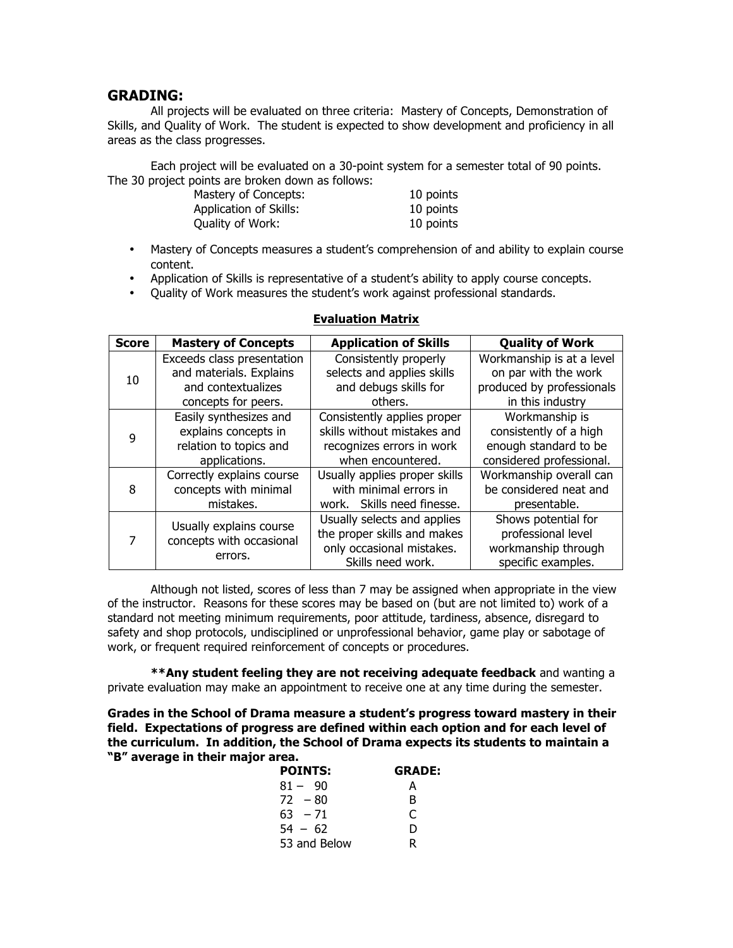#### **GRADING:**

All projects will be evaluated on three criteria: Mastery of Concepts, Demonstration of Skills, and Quality of Work. The student is expected to show development and proficiency in all areas as the class progresses.

Each project will be evaluated on a 30-point system for a semester total of 90 points. The 30 project points are broken down as follows:

| Mastery of Concepts:   | 10 points |
|------------------------|-----------|
| Application of Skills: | 10 points |
| Quality of Work:       | 10 points |

- Mastery of Concepts measures a student's comprehension of and ability to explain course content.
- Application of Skills is representative of a student's ability to apply course concepts.
- Quality of Work measures the student's work against professional standards.

| <b>Score</b> | <b>Mastery of Concepts</b>                          | <b>Application of Skills</b>  | <b>Quality of Work</b>    |
|--------------|-----------------------------------------------------|-------------------------------|---------------------------|
| 10           | Exceeds class presentation                          | Consistently properly         | Workmanship is at a level |
|              | and materials. Explains                             | selects and applies skills    | on par with the work      |
|              | and contextualizes                                  | and debugs skills for         | produced by professionals |
|              | concepts for peers.                                 | others.                       | in this industry          |
| 9            | Easily synthesizes and                              | Consistently applies proper   | Workmanship is            |
|              | explains concepts in                                | skills without mistakes and   | consistently of a high    |
|              | relation to topics and                              | recognizes errors in work     | enough standard to be     |
|              | applications.                                       | when encountered.             | considered professional.  |
| 8            | Correctly explains course                           | Usually applies proper skills | Workmanship overall can   |
|              | concepts with minimal                               | with minimal errors in        | be considered neat and    |
|              | mistakes.                                           | work. Skills need finesse.    | presentable.              |
| 7            | Usually explains course<br>concepts with occasional | Usually selects and applies   | Shows potential for       |
|              |                                                     | the proper skills and makes   | professional level        |
|              |                                                     | only occasional mistakes.     | workmanship through       |
|              | errors.                                             | Skills need work.             | specific examples.        |

#### **Evaluation Matrix**

Although not listed, scores of less than 7 may be assigned when appropriate in the view of the instructor. Reasons for these scores may be based on (but are not limited to) work of a standard not meeting minimum requirements, poor attitude, tardiness, absence, disregard to safety and shop protocols, undisciplined or unprofessional behavior, game play or sabotage of work, or frequent required reinforcement of concepts or procedures.

**\*\*Any student feeling they are not receiving adequate feedback** and wanting a private evaluation may make an appointment to receive one at any time during the semester. 

**Grades in the School of Drama measure a student's progress toward mastery in their field. Expectations of progress are defined within each option and for each level of the curriculum. In addition, the School of Drama expects its students to maintain a "B" average in their major area.**

| <b>POINTS:</b> | <b>GRADE:</b> |  |
|----------------|---------------|--|
| $81 - 90$      | А             |  |
| $72 - 80$      | в             |  |
| $63 - 71$      | C             |  |
| $54 - 62$      | D             |  |
| 53 and Below   | R             |  |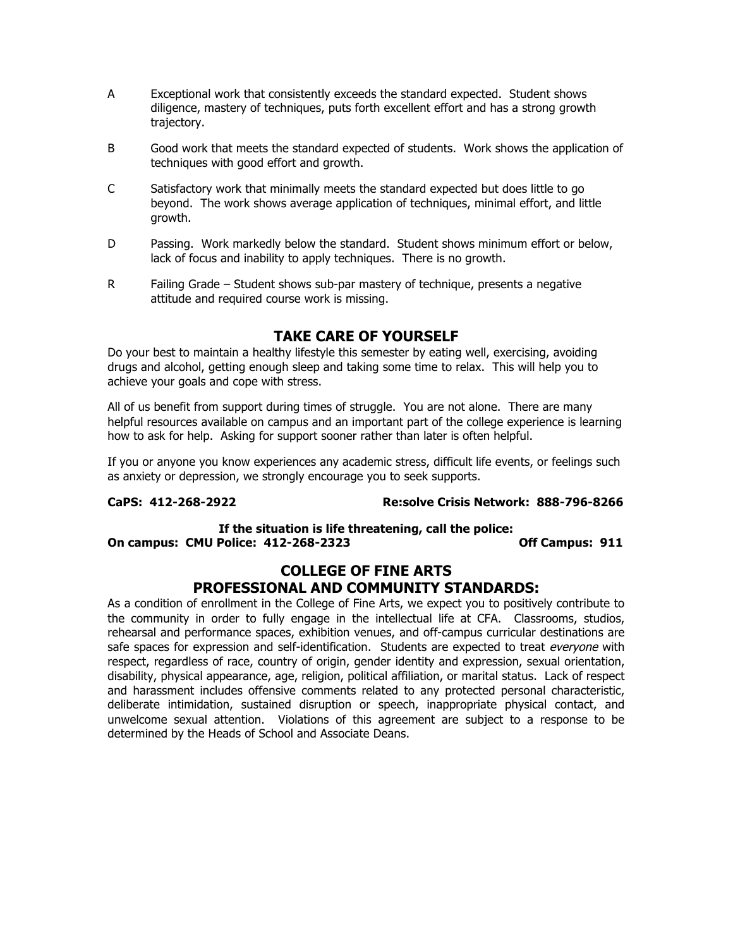- A Exceptional work that consistently exceeds the standard expected. Student shows diligence, mastery of techniques, puts forth excellent effort and has a strong growth trajectory.
- B Good work that meets the standard expected of students. Work shows the application of techniques with good effort and growth.
- C Satisfactory work that minimally meets the standard expected but does little to go beyond. The work shows average application of techniques, minimal effort, and little growth.
- D Passing. Work markedly below the standard. Student shows minimum effort or below, lack of focus and inability to apply techniques. There is no growth.
- R Failing Grade Student shows sub-par mastery of technique, presents a negative attitude and required course work is missing.

# **TAKE CARE OF YOURSELF**

Do your best to maintain a healthy lifestyle this semester by eating well, exercising, avoiding drugs and alcohol, getting enough sleep and taking some time to relax. This will help you to achieve your goals and cope with stress.

All of us benefit from support during times of struggle. You are not alone. There are many helpful resources available on campus and an important part of the college experience is learning how to ask for help. Asking for support sooner rather than later is often helpful.

If you or anyone you know experiences any academic stress, difficult life events, or feelings such as anxiety or depression, we strongly encourage you to seek supports.

#### **CaPS: 412-268-2922 Re:solve Crisis Network: 888-796-8266**

#### **If the situation is life threatening, call the police: On campus: CMU Police: 412-268-2323 Off Campus: 911**

#### **COLLEGE OF FINE ARTS PROFESSIONAL AND COMMUNITY STANDARDS:**

As a condition of enrollment in the College of Fine Arts, we expect you to positively contribute to the community in order to fully engage in the intellectual life at CFA. Classrooms, studios, rehearsal and performance spaces, exhibition venues, and off-campus curricular destinations are safe spaces for expression and self-identification. Students are expected to treat everyone with respect, regardless of race, country of origin, gender identity and expression, sexual orientation, disability, physical appearance, age, religion, political affiliation, or marital status. Lack of respect and harassment includes offensive comments related to any protected personal characteristic, deliberate intimidation, sustained disruption or speech, inappropriate physical contact, and unwelcome sexual attention. Violations of this agreement are subject to a response to be determined by the Heads of School and Associate Deans.